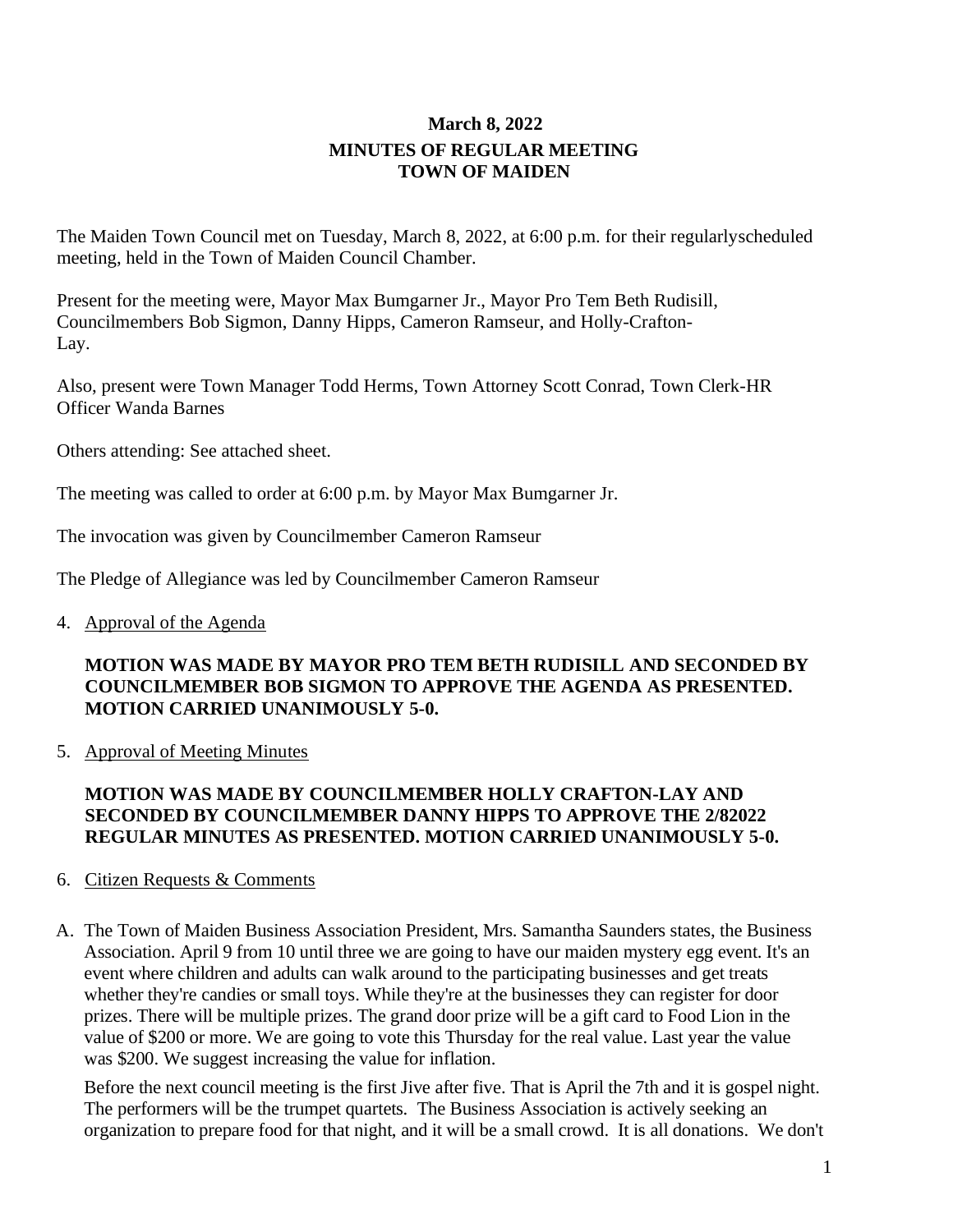# **March 8, 2022 MINUTES OF REGULAR MEETING TOWN OF MAIDEN**

The Maiden Town Council met on Tuesday, March 8, 2022, at 6:00 p.m. for their regularlyscheduled meeting, held in the Town of Maiden Council Chamber.

Present for the meeting were, Mayor Max Bumgarner Jr., Mayor Pro Tem Beth Rudisill, Councilmembers Bob Sigmon, Danny Hipps, Cameron Ramseur, and Holly-Crafton-Lay.

Also, present were Town Manager Todd Herms, Town Attorney Scott Conrad, Town Clerk-HR Officer Wanda Barnes

Others attending: See attached sheet.

The meeting was called to order at 6:00 p.m. by Mayor Max Bumgarner Jr.

The invocation was given by Councilmember Cameron Ramseur

The Pledge of Allegiance was led by Councilmember Cameron Ramseur

4. Approval of the Agenda

## **MOTION WAS MADE BY MAYOR PRO TEM BETH RUDISILL AND SECONDED BY COUNCILMEMBER BOB SIGMON TO APPROVE THE AGENDA AS PRESENTED. MOTION CARRIED UNANIMOUSLY 5-0.**

5. Approval of Meeting Minutes

## **MOTION WAS MADE BY COUNCILMEMBER HOLLY CRAFTON-LAY AND SECONDED BY COUNCILMEMBER DANNY HIPPS TO APPROVE THE 2/82022 REGULAR MINUTES AS PRESENTED. MOTION CARRIED UNANIMOUSLY 5-0.**

### 6. Citizen Requests & Comments

A. The Town of Maiden Business Association President, Mrs. Samantha Saunders states, the Business Association. April 9 from 10 until three we are going to have our maiden mystery egg event. It's an event where children and adults can walk around to the participating businesses and get treats whether they're candies or small toys. While they're at the businesses they can register for door prizes. There will be multiple prizes. The grand door prize will be a gift card to Food Lion in the value of \$200 or more. We are going to vote this Thursday for the real value. Last year the value was \$200. We suggest increasing the value for inflation.

Before the next council meeting is the first Jive after five. That is April the 7th and it is gospel night. The performers will be the trumpet quartets. The Business Association is actively seeking an organization to prepare food for that night, and it will be a small crowd. It is all donations. We don't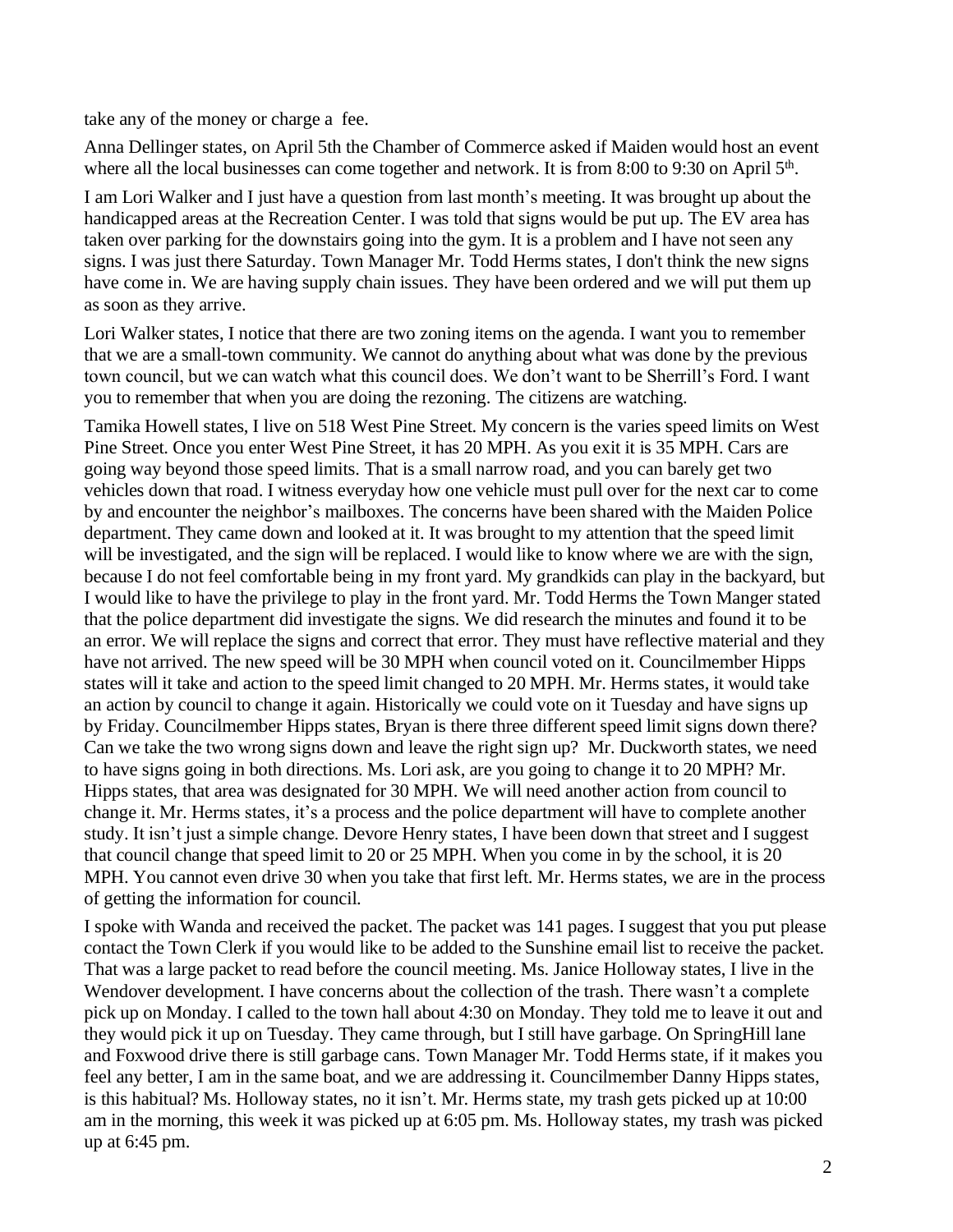take any of the money or charge a fee.

Anna Dellinger states, on April 5th the Chamber of Commerce asked if Maiden would host an event where all the local businesses can come together and network. It is from 8:00 to 9:30 on April 5<sup>th</sup>.

I am Lori Walker and I just have a question from last month's meeting. It was brought up about the handicapped areas at the Recreation Center. I was told that signs would be put up. The EV area has taken over parking for the downstairs going into the gym. It is a problem and I have not seen any signs. I was just there Saturday. Town Manager Mr. Todd Herms states, I don't think the new signs have come in. We are having supply chain issues. They have been ordered and we will put them up as soon as they arrive.

Lori Walker states, I notice that there are two zoning items on the agenda. I want you to remember that we are a small-town community. We cannot do anything about what was done by the previous town council, but we can watch what this council does. We don't want to be Sherrill's Ford. I want you to remember that when you are doing the rezoning. The citizens are watching.

Tamika Howell states, I live on 518 West Pine Street. My concern is the varies speed limits on West Pine Street. Once you enter West Pine Street, it has 20 MPH. As you exit it is 35 MPH. Cars are going way beyond those speed limits. That is a small narrow road, and you can barely get two vehicles down that road. I witness everyday how one vehicle must pull over for the next car to come by and encounter the neighbor's mailboxes. The concerns have been shared with the Maiden Police department. They came down and looked at it. It was brought to my attention that the speed limit will be investigated, and the sign will be replaced. I would like to know where we are with the sign, because I do not feel comfortable being in my front yard. My grandkids can play in the backyard, but I would like to have the privilege to play in the front yard. Mr. Todd Herms the Town Manger stated that the police department did investigate the signs. We did research the minutes and found it to be an error. We will replace the signs and correct that error. They must have reflective material and they have not arrived. The new speed will be 30 MPH when council voted on it. Councilmember Hipps states will it take and action to the speed limit changed to 20 MPH. Mr. Herms states, it would take an action by council to change it again. Historically we could vote on it Tuesday and have signs up by Friday. Councilmember Hipps states, Bryan is there three different speed limit signs down there? Can we take the two wrong signs down and leave the right sign up? Mr. Duckworth states, we need to have signs going in both directions. Ms. Lori ask, are you going to change it to 20 MPH? Mr. Hipps states, that area was designated for 30 MPH. We will need another action from council to change it. Mr. Herms states, it's a process and the police department will have to complete another study. It isn't just a simple change. Devore Henry states, I have been down that street and I suggest that council change that speed limit to 20 or 25 MPH. When you come in by the school, it is 20 MPH. You cannot even drive 30 when you take that first left. Mr. Herms states, we are in the process of getting the information for council.

I spoke with Wanda and received the packet. The packet was 141 pages. I suggest that you put please contact the Town Clerk if you would like to be added to the Sunshine email list to receive the packet. That was a large packet to read before the council meeting. Ms. Janice Holloway states, I live in the Wendover development. I have concerns about the collection of the trash. There wasn't a complete pick up on Monday. I called to the town hall about 4:30 on Monday. They told me to leave it out and they would pick it up on Tuesday. They came through, but I still have garbage. On SpringHill lane and Foxwood drive there is still garbage cans. Town Manager Mr. Todd Herms state, if it makes you feel any better, I am in the same boat, and we are addressing it. Councilmember Danny Hipps states, is this habitual? Ms. Holloway states, no it isn't. Mr. Herms state, my trash gets picked up at 10:00 am in the morning, this week it was picked up at 6:05 pm. Ms. Holloway states, my trash was picked up at 6:45 pm.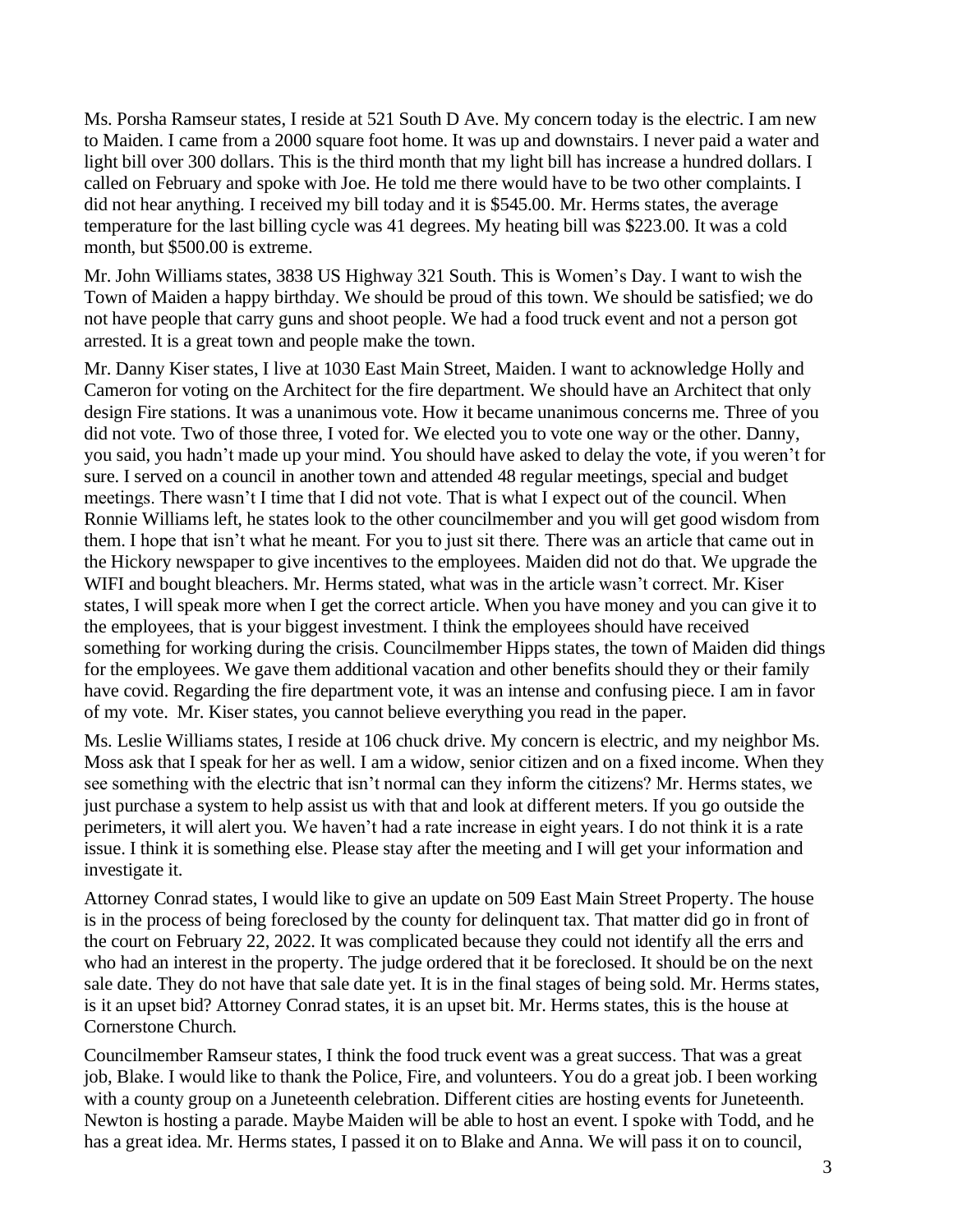Ms. Porsha Ramseur states, I reside at 521 South D Ave. My concern today is the electric. I am new to Maiden. I came from a 2000 square foot home. It was up and downstairs. I never paid a water and light bill over 300 dollars. This is the third month that my light bill has increase a hundred dollars. I called on February and spoke with Joe. He told me there would have to be two other complaints. I did not hear anything. I received my bill today and it is \$545.00. Mr. Herms states, the average temperature for the last billing cycle was 41 degrees. My heating bill was \$223.00. It was a cold month, but \$500.00 is extreme.

Mr. John Williams states, 3838 US Highway 321 South. This is Women's Day. I want to wish the Town of Maiden a happy birthday. We should be proud of this town. We should be satisfied; we do not have people that carry guns and shoot people. We had a food truck event and not a person got arrested. It is a great town and people make the town.

Mr. Danny Kiser states, I live at 1030 East Main Street, Maiden. I want to acknowledge Holly and Cameron for voting on the Architect for the fire department. We should have an Architect that only design Fire stations. It was a unanimous vote. How it became unanimous concerns me. Three of you did not vote. Two of those three, I voted for. We elected you to vote one way or the other. Danny, you said, you hadn't made up your mind. You should have asked to delay the vote, if you weren't for sure. I served on a council in another town and attended 48 regular meetings, special and budget meetings. There wasn't I time that I did not vote. That is what I expect out of the council. When Ronnie Williams left, he states look to the other councilmember and you will get good wisdom from them. I hope that isn't what he meant. For you to just sit there. There was an article that came out in the Hickory newspaper to give incentives to the employees. Maiden did not do that. We upgrade the WIFI and bought bleachers. Mr. Herms stated, what was in the article wasn't correct. Mr. Kiser states, I will speak more when I get the correct article. When you have money and you can give it to the employees, that is your biggest investment. I think the employees should have received something for working during the crisis. Councilmember Hipps states, the town of Maiden did things for the employees. We gave them additional vacation and other benefits should they or their family have covid. Regarding the fire department vote, it was an intense and confusing piece. I am in favor of my vote. Mr. Kiser states, you cannot believe everything you read in the paper.

Ms. Leslie Williams states, I reside at 106 chuck drive. My concern is electric, and my neighbor Ms. Moss ask that I speak for her as well. I am a widow, senior citizen and on a fixed income. When they see something with the electric that isn't normal can they inform the citizens? Mr. Herms states, we just purchase a system to help assist us with that and look at different meters. If you go outside the perimeters, it will alert you. We haven't had a rate increase in eight years. I do not think it is a rate issue. I think it is something else. Please stay after the meeting and I will get your information and investigate it.

Attorney Conrad states, I would like to give an update on 509 East Main Street Property. The house is in the process of being foreclosed by the county for delinquent tax. That matter did go in front of the court on February 22, 2022. It was complicated because they could not identify all the errs and who had an interest in the property. The judge ordered that it be foreclosed. It should be on the next sale date. They do not have that sale date yet. It is in the final stages of being sold. Mr. Herms states, is it an upset bid? Attorney Conrad states, it is an upset bit. Mr. Herms states, this is the house at Cornerstone Church.

Councilmember Ramseur states, I think the food truck event was a great success. That was a great job, Blake. I would like to thank the Police, Fire, and volunteers. You do a great job. I been working with a county group on a Juneteenth celebration. Different cities are hosting events for Juneteenth. Newton is hosting a parade. Maybe Maiden will be able to host an event. I spoke with Todd, and he has a great idea. Mr. Herms states, I passed it on to Blake and Anna. We will pass it on to council,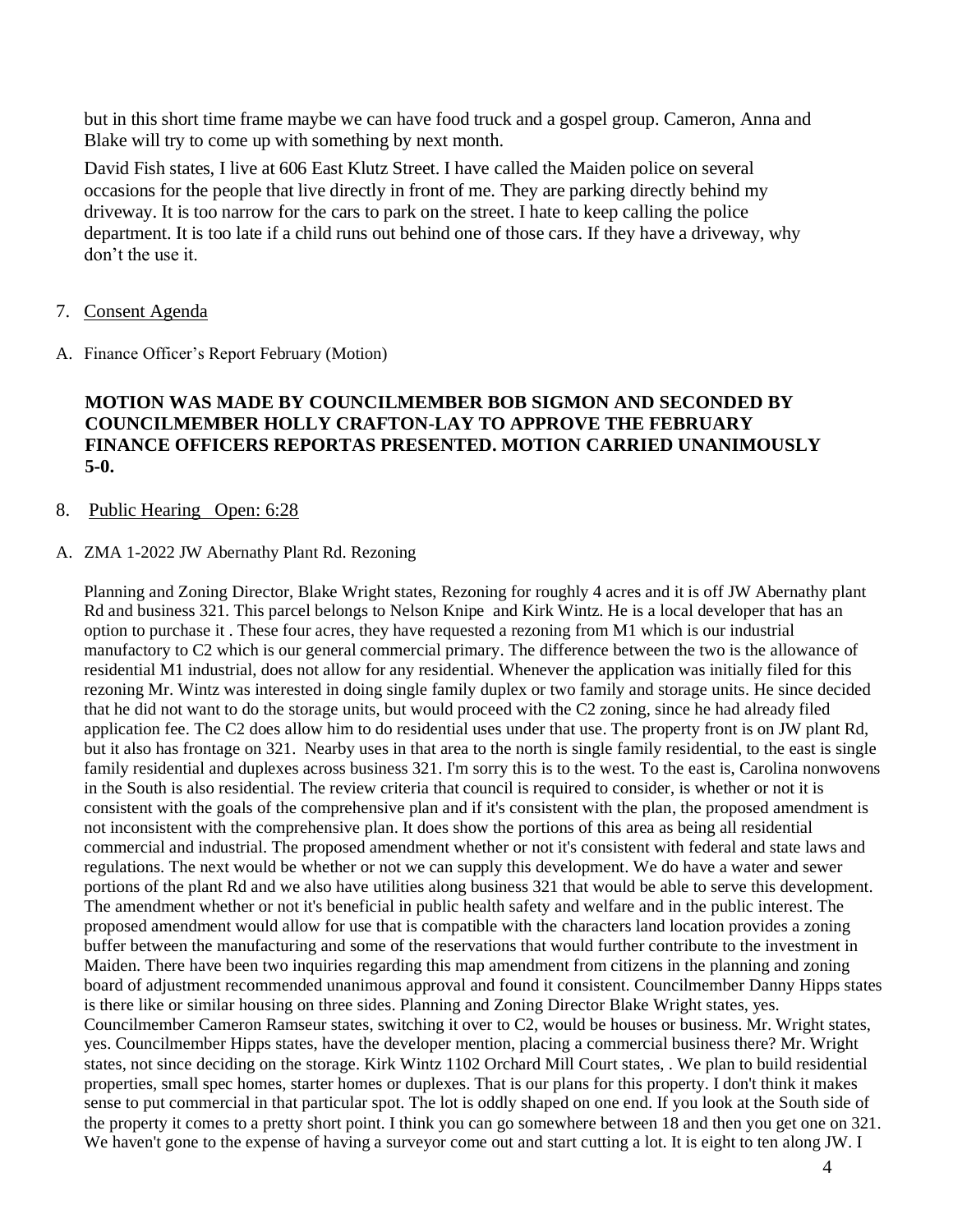but in this short time frame maybe we can have food truck and a gospel group. Cameron, Anna and Blake will try to come up with something by next month.

David Fish states, I live at 606 East Klutz Street. I have called the Maiden police on several occasions for the people that live directly in front of me. They are parking directly behind my driveway. It is too narrow for the cars to park on the street. I hate to keep calling the police department. It is too late if a child runs out behind one of those cars. If they have a driveway, why don't the use it.

- 7. Consent Agenda
- A. Finance Officer's Report February (Motion)

### **MOTION WAS MADE BY COUNCILMEMBER BOB SIGMON AND SECONDED BY COUNCILMEMBER HOLLY CRAFTON-LAY TO APPROVE THE FEBRUARY FINANCE OFFICERS REPORTAS PRESENTED. MOTION CARRIED UNANIMOUSLY 5-0.**

#### 8. Public Hearing Open: 6:28

#### A. ZMA 1-2022 JW Abernathy Plant Rd. Rezoning

Planning and Zoning Director, Blake Wright states, Rezoning for roughly 4 acres and it is off JW Abernathy plant Rd and business 321. This parcel belongs to Nelson Knipe and Kirk Wintz. He is a local developer that has an option to purchase it . These four acres, they have requested a rezoning from M1 which is our industrial manufactory to C2 which is our general commercial primary. The difference between the two is the allowance of residential M1 industrial, does not allow for any residential. Whenever the application was initially filed for this rezoning Mr. Wintz was interested in doing single family duplex or two family and storage units. He since decided that he did not want to do the storage units, but would proceed with the C2 zoning, since he had already filed application fee. The C2 does allow him to do residential uses under that use. The property front is on JW plant Rd, but it also has frontage on 321. Nearby uses in that area to the north is single family residential, to the east is single family residential and duplexes across business 321. I'm sorry this is to the west. To the east is, Carolina nonwovens in the South is also residential. The review criteria that council is required to consider, is whether or not it is consistent with the goals of the comprehensive plan and if it's consistent with the plan, the proposed amendment is not inconsistent with the comprehensive plan. It does show the portions of this area as being all residential commercial and industrial. The proposed amendment whether or not it's consistent with federal and state laws and regulations. The next would be whether or not we can supply this development. We do have a water and sewer portions of the plant Rd and we also have utilities along business 321 that would be able to serve this development. The amendment whether or not it's beneficial in public health safety and welfare and in the public interest. The proposed amendment would allow for use that is compatible with the characters land location provides a zoning buffer between the manufacturing and some of the reservations that would further contribute to the investment in Maiden. There have been two inquiries regarding this map amendment from citizens in the planning and zoning board of adjustment recommended unanimous approval and found it consistent. Councilmember Danny Hipps states is there like or similar housing on three sides. Planning and Zoning Director Blake Wright states, yes. Councilmember Cameron Ramseur states, switching it over to C2, would be houses or business. Mr. Wright states, yes. Councilmember Hipps states, have the developer mention, placing a commercial business there? Mr. Wright states, not since deciding on the storage. Kirk Wintz 1102 Orchard Mill Court states, . We plan to build residential properties, small spec homes, starter homes or duplexes. That is our plans for this property. I don't think it makes sense to put commercial in that particular spot. The lot is oddly shaped on one end. If you look at the South side of the property it comes to a pretty short point. I think you can go somewhere between 18 and then you get one on 321. We haven't gone to the expense of having a surveyor come out and start cutting a lot. It is eight to ten along JW. I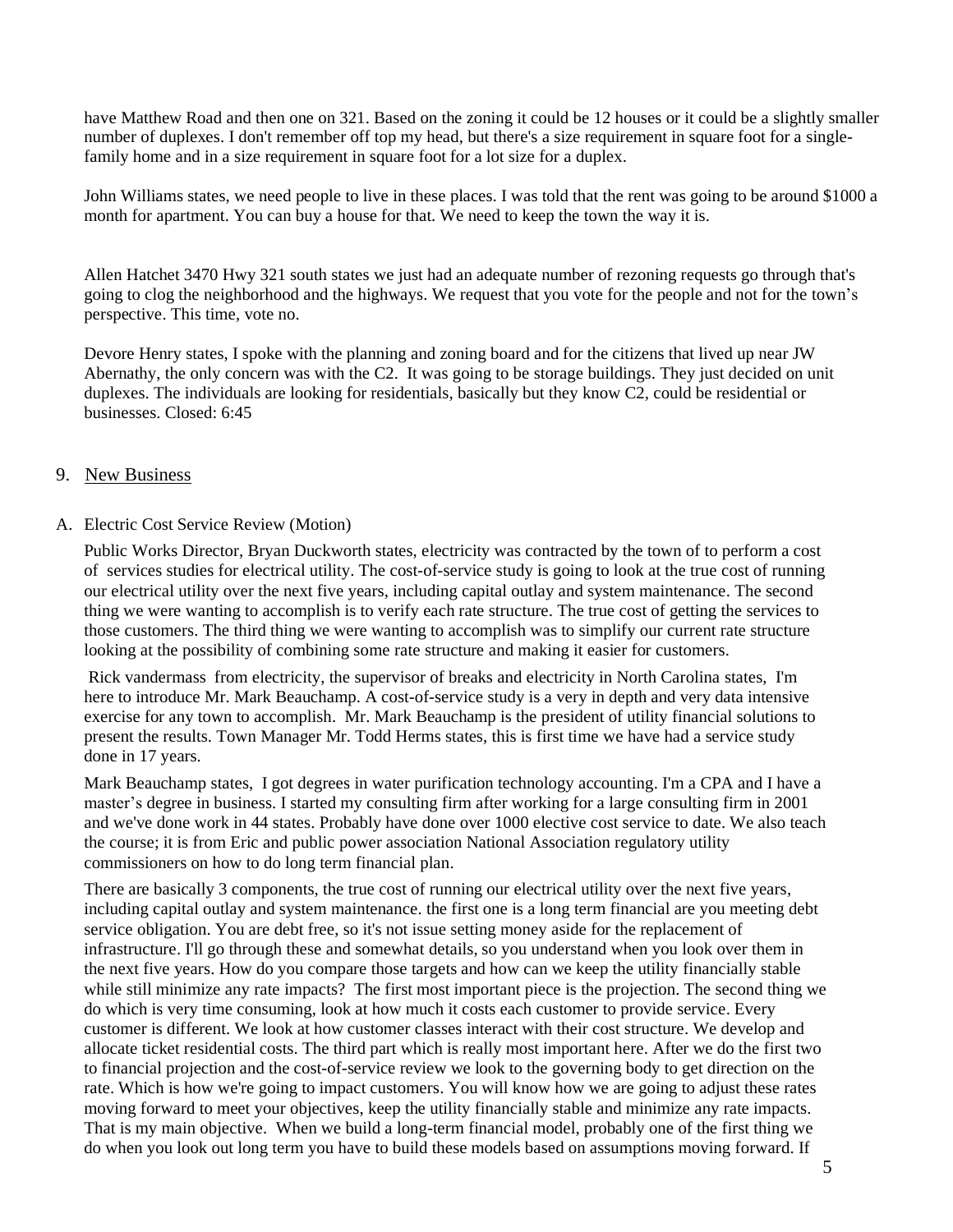have Matthew Road and then one on 321. Based on the zoning it could be 12 houses or it could be a slightly smaller number of duplexes. I don't remember off top my head, but there's a size requirement in square foot for a singlefamily home and in a size requirement in square foot for a lot size for a duplex.

John Williams states, we need people to live in these places. I was told that the rent was going to be around \$1000 a month for apartment. You can buy a house for that. We need to keep the town the way it is.

Allen Hatchet 3470 Hwy 321 south states we just had an adequate number of rezoning requests go through that's going to clog the neighborhood and the highways. We request that you vote for the people and not for the town's perspective. This time, vote no.

Devore Henry states, I spoke with the planning and zoning board and for the citizens that lived up near JW Abernathy, the only concern was with the C2. It was going to be storage buildings. They just decided on unit duplexes. The individuals are looking for residentials, basically but they know C2, could be residential or businesses. Closed: 6:45

#### 9. New Business

#### A. Electric Cost Service Review (Motion)

Public Works Director, Bryan Duckworth states, electricity was contracted by the town of to perform a cost of services studies for electrical utility. The cost-of-service study is going to look at the true cost of running our electrical utility over the next five years, including capital outlay and system maintenance. The second thing we were wanting to accomplish is to verify each rate structure. The true cost of getting the services to those customers. The third thing we were wanting to accomplish was to simplify our current rate structure looking at the possibility of combining some rate structure and making it easier for customers.

Rick vandermass from electricity, the supervisor of breaks and electricity in North Carolina states, I'm here to introduce Mr. Mark Beauchamp. A cost-of-service study is a very in depth and very data intensive exercise for any town to accomplish. Mr. Mark Beauchamp is the president of utility financial solutions to present the results. Town Manager Mr. Todd Herms states, this is first time we have had a service study done in 17 years.

Mark Beauchamp states, I got degrees in water purification technology accounting. I'm a CPA and I have a master's degree in business. I started my consulting firm after working for a large consulting firm in 2001 and we've done work in 44 states. Probably have done over 1000 elective cost service to date. We also teach the course; it is from Eric and public power association National Association regulatory utility commissioners on how to do long term financial plan.

There are basically 3 components, the true cost of running our electrical utility over the next five years, including capital outlay and system maintenance. the first one is a long term financial are you meeting debt service obligation. You are debt free, so it's not issue setting money aside for the replacement of infrastructure. I'll go through these and somewhat details, so you understand when you look over them in the next five years. How do you compare those targets and how can we keep the utility financially stable while still minimize any rate impacts? The first most important piece is the projection. The second thing we do which is very time consuming, look at how much it costs each customer to provide service. Every customer is different. We look at how customer classes interact with their cost structure. We develop and allocate ticket residential costs. The third part which is really most important here. After we do the first two to financial projection and the cost-of-service review we look to the governing body to get direction on the rate. Which is how we're going to impact customers. You will know how we are going to adjust these rates moving forward to meet your objectives, keep the utility financially stable and minimize any rate impacts. That is my main objective. When we build a long-term financial model, probably one of the first thing we do when you look out long term you have to build these models based on assumptions moving forward. If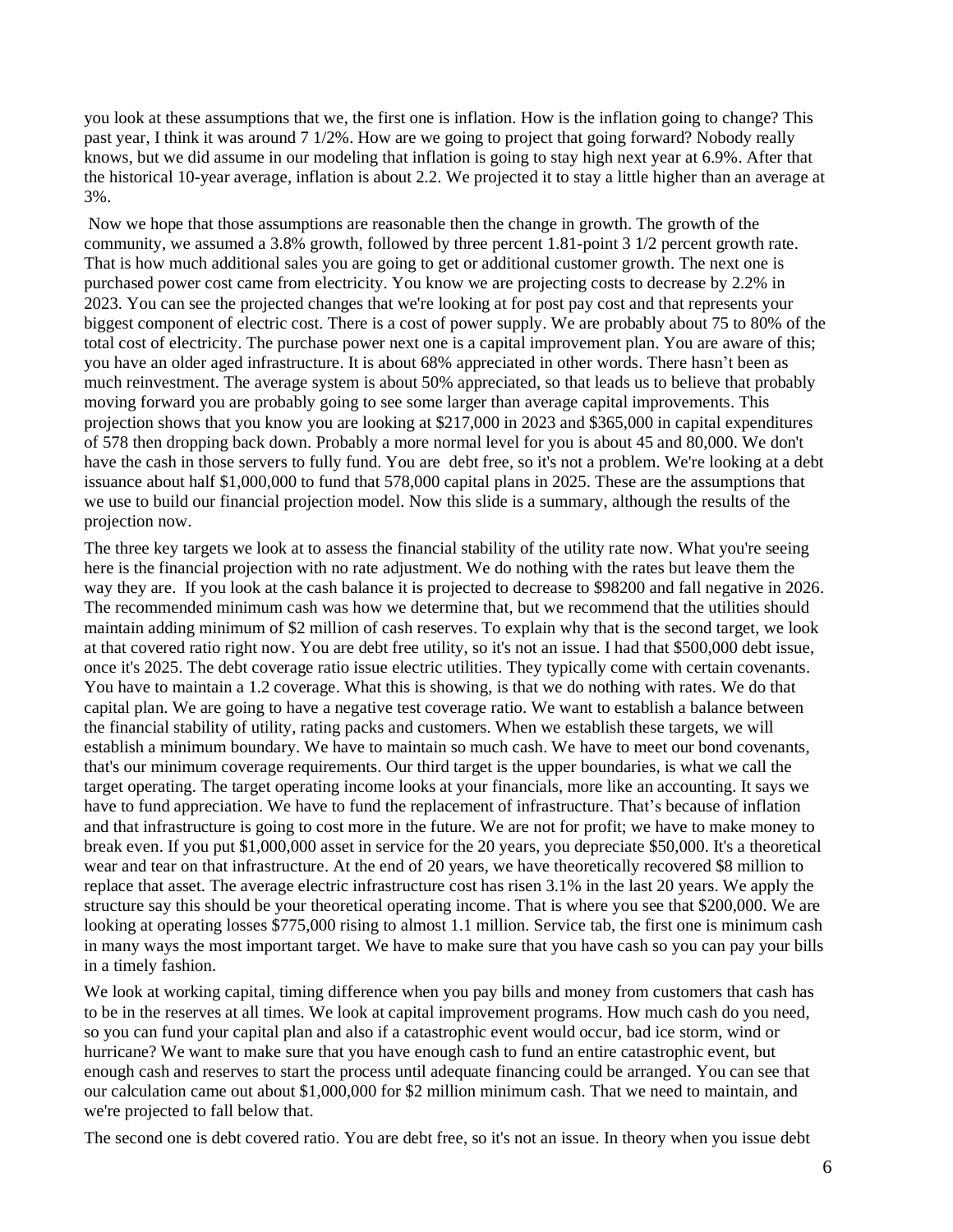you look at these assumptions that we, the first one is inflation. How is the inflation going to change? This past year, I think it was around 7 1/2%. How are we going to project that going forward? Nobody really knows, but we did assume in our modeling that inflation is going to stay high next year at 6.9%. After that the historical 10-year average, inflation is about 2.2. We projected it to stay a little higher than an average at 3%.

Now we hope that those assumptions are reasonable then the change in growth. The growth of the community, we assumed a 3.8% growth, followed by three percent 1.81-point 3 1/2 percent growth rate. That is how much additional sales you are going to get or additional customer growth. The next one is purchased power cost came from electricity. You know we are projecting costs to decrease by 2.2% in 2023. You can see the projected changes that we're looking at for post pay cost and that represents your biggest component of electric cost. There is a cost of power supply. We are probably about 75 to 80% of the total cost of electricity. The purchase power next one is a capital improvement plan. You are aware of this; you have an older aged infrastructure. It is about 68% appreciated in other words. There hasn't been as much reinvestment. The average system is about 50% appreciated, so that leads us to believe that probably moving forward you are probably going to see some larger than average capital improvements. This projection shows that you know you are looking at \$217,000 in 2023 and \$365,000 in capital expenditures of 578 then dropping back down. Probably a more normal level for you is about 45 and 80,000. We don't have the cash in those servers to fully fund. You are debt free, so it's not a problem. We're looking at a debt issuance about half \$1,000,000 to fund that 578,000 capital plans in 2025. These are the assumptions that we use to build our financial projection model. Now this slide is a summary, although the results of the projection now.

The three key targets we look at to assess the financial stability of the utility rate now. What you're seeing here is the financial projection with no rate adjustment. We do nothing with the rates but leave them the way they are. If you look at the cash balance it is projected to decrease to \$98200 and fall negative in 2026. The recommended minimum cash was how we determine that, but we recommend that the utilities should maintain adding minimum of \$2 million of cash reserves. To explain why that is the second target, we look at that covered ratio right now. You are debt free utility, so it's not an issue. I had that \$500,000 debt issue, once it's 2025. The debt coverage ratio issue electric utilities. They typically come with certain covenants. You have to maintain a 1.2 coverage. What this is showing, is that we do nothing with rates. We do that capital plan. We are going to have a negative test coverage ratio. We want to establish a balance between the financial stability of utility, rating packs and customers. When we establish these targets, we will establish a minimum boundary. We have to maintain so much cash. We have to meet our bond covenants, that's our minimum coverage requirements. Our third target is the upper boundaries, is what we call the target operating. The target operating income looks at your financials, more like an accounting. It says we have to fund appreciation. We have to fund the replacement of infrastructure. That's because of inflation and that infrastructure is going to cost more in the future. We are not for profit; we have to make money to break even. If you put \$1,000,000 asset in service for the 20 years, you depreciate \$50,000. It's a theoretical wear and tear on that infrastructure. At the end of 20 years, we have theoretically recovered \$8 million to replace that asset. The average electric infrastructure cost has risen 3.1% in the last 20 years. We apply the structure say this should be your theoretical operating income. That is where you see that \$200,000. We are looking at operating losses \$775,000 rising to almost 1.1 million. Service tab, the first one is minimum cash in many ways the most important target. We have to make sure that you have cash so you can pay your bills in a timely fashion.

We look at working capital, timing difference when you pay bills and money from customers that cash has to be in the reserves at all times. We look at capital improvement programs. How much cash do you need, so you can fund your capital plan and also if a catastrophic event would occur, bad ice storm, wind or hurricane? We want to make sure that you have enough cash to fund an entire catastrophic event, but enough cash and reserves to start the process until adequate financing could be arranged. You can see that our calculation came out about \$1,000,000 for \$2 million minimum cash. That we need to maintain, and we're projected to fall below that.

The second one is debt covered ratio. You are debt free, so it's not an issue. In theory when you issue debt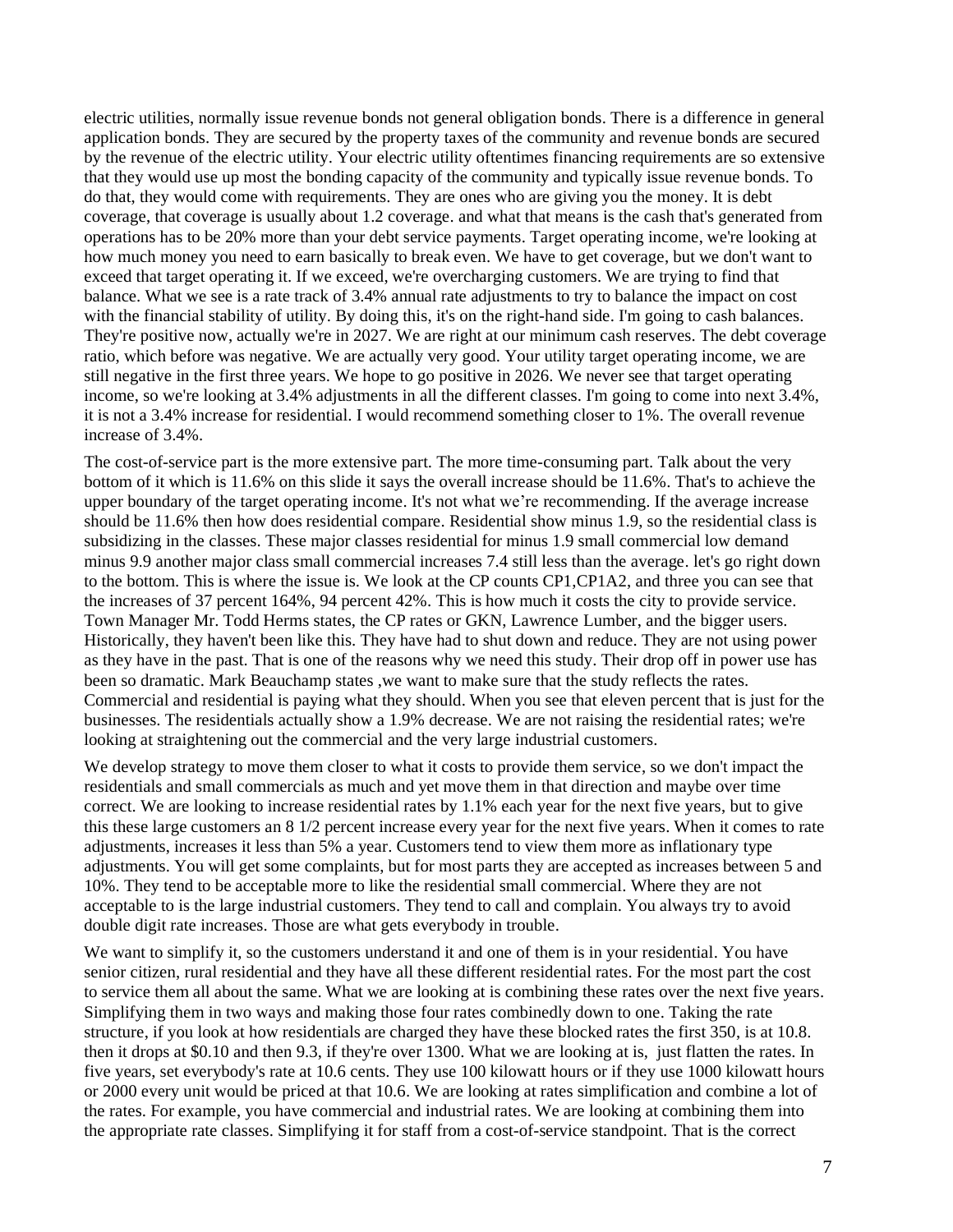electric utilities, normally issue revenue bonds not general obligation bonds. There is a difference in general application bonds. They are secured by the property taxes of the community and revenue bonds are secured by the revenue of the electric utility. Your electric utility oftentimes financing requirements are so extensive that they would use up most the bonding capacity of the community and typically issue revenue bonds. To do that, they would come with requirements. They are ones who are giving you the money. It is debt coverage, that coverage is usually about 1.2 coverage. and what that means is the cash that's generated from operations has to be 20% more than your debt service payments. Target operating income, we're looking at how much money you need to earn basically to break even. We have to get coverage, but we don't want to exceed that target operating it. If we exceed, we're overcharging customers. We are trying to find that balance. What we see is a rate track of 3.4% annual rate adjustments to try to balance the impact on cost with the financial stability of utility. By doing this, it's on the right-hand side. I'm going to cash balances. They're positive now, actually we're in 2027. We are right at our minimum cash reserves. The debt coverage ratio, which before was negative. We are actually very good. Your utility target operating income, we are still negative in the first three years. We hope to go positive in 2026. We never see that target operating income, so we're looking at 3.4% adjustments in all the different classes. I'm going to come into next 3.4%, it is not a 3.4% increase for residential. I would recommend something closer to 1%. The overall revenue increase of 3.4%.

The cost-of-service part is the more extensive part. The more time-consuming part. Talk about the very bottom of it which is 11.6% on this slide it says the overall increase should be 11.6%. That's to achieve the upper boundary of the target operating income. It's not what we're recommending. If the average increase should be 11.6% then how does residential compare. Residential show minus 1.9, so the residential class is subsidizing in the classes. These major classes residential for minus 1.9 small commercial low demand minus 9.9 another major class small commercial increases 7.4 still less than the average. let's go right down to the bottom. This is where the issue is. We look at the CP counts CP1,CP1A2, and three you can see that the increases of 37 percent 164%, 94 percent 42%. This is how much it costs the city to provide service. Town Manager Mr. Todd Herms states, the CP rates or GKN, Lawrence Lumber, and the bigger users. Historically, they haven't been like this. They have had to shut down and reduce. They are not using power as they have in the past. That is one of the reasons why we need this study. Their drop off in power use has been so dramatic. Mark Beauchamp states , we want to make sure that the study reflects the rates. Commercial and residential is paying what they should. When you see that eleven percent that is just for the businesses. The residentials actually show a 1.9% decrease. We are not raising the residential rates; we're looking at straightening out the commercial and the very large industrial customers.

We develop strategy to move them closer to what it costs to provide them service, so we don't impact the residentials and small commercials as much and yet move them in that direction and maybe over time correct. We are looking to increase residential rates by 1.1% each year for the next five years, but to give this these large customers an 8 1/2 percent increase every year for the next five years. When it comes to rate adjustments, increases it less than 5% a year. Customers tend to view them more as inflationary type adjustments. You will get some complaints, but for most parts they are accepted as increases between 5 and 10%. They tend to be acceptable more to like the residential small commercial. Where they are not acceptable to is the large industrial customers. They tend to call and complain. You always try to avoid double digit rate increases. Those are what gets everybody in trouble.

We want to simplify it, so the customers understand it and one of them is in your residential. You have senior citizen, rural residential and they have all these different residential rates. For the most part the cost to service them all about the same. What we are looking at is combining these rates over the next five years. Simplifying them in two ways and making those four rates combinedly down to one. Taking the rate structure, if you look at how residentials are charged they have these blocked rates the first 350, is at 10.8. then it drops at \$0.10 and then 9.3, if they're over 1300. What we are looking at is, just flatten the rates. In five years, set everybody's rate at 10.6 cents. They use 100 kilowatt hours or if they use 1000 kilowatt hours or 2000 every unit would be priced at that 10.6. We are looking at rates simplification and combine a lot of the rates. For example, you have commercial and industrial rates. We are looking at combining them into the appropriate rate classes. Simplifying it for staff from a cost-of-service standpoint. That is the correct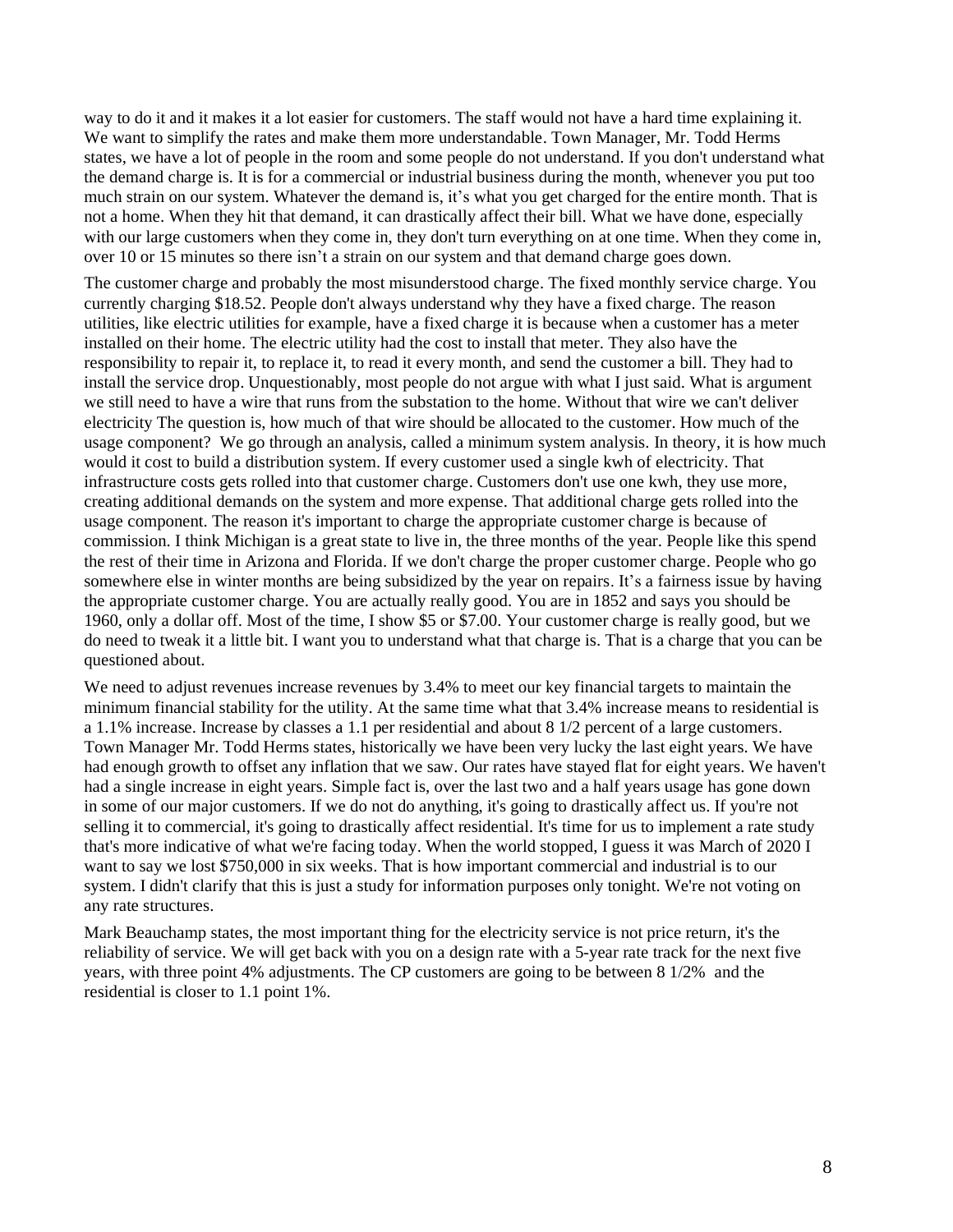way to do it and it makes it a lot easier for customers. The staff would not have a hard time explaining it. We want to simplify the rates and make them more understandable. Town Manager, Mr. Todd Herms states, we have a lot of people in the room and some people do not understand. If you don't understand what the demand charge is. It is for a commercial or industrial business during the month, whenever you put too much strain on our system. Whatever the demand is, it's what you get charged for the entire month. That is not a home. When they hit that demand, it can drastically affect their bill. What we have done, especially with our large customers when they come in, they don't turn everything on at one time. When they come in, over 10 or 15 minutes so there isn't a strain on our system and that demand charge goes down.

The customer charge and probably the most misunderstood charge. The fixed monthly service charge. You currently charging \$18.52. People don't always understand why they have a fixed charge. The reason utilities, like electric utilities for example, have a fixed charge it is because when a customer has a meter installed on their home. The electric utility had the cost to install that meter. They also have the responsibility to repair it, to replace it, to read it every month, and send the customer a bill. They had to install the service drop. Unquestionably, most people do not argue with what I just said. What is argument we still need to have a wire that runs from the substation to the home. Without that wire we can't deliver electricity The question is, how much of that wire should be allocated to the customer. How much of the usage component? We go through an analysis, called a minimum system analysis. In theory, it is how much would it cost to build a distribution system. If every customer used a single kwh of electricity. That infrastructure costs gets rolled into that customer charge. Customers don't use one kwh, they use more, creating additional demands on the system and more expense. That additional charge gets rolled into the usage component. The reason it's important to charge the appropriate customer charge is because of commission. I think Michigan is a great state to live in, the three months of the year. People like this spend the rest of their time in Arizona and Florida. If we don't charge the proper customer charge. People who go somewhere else in winter months are being subsidized by the year on repairs. It's a fairness issue by having the appropriate customer charge. You are actually really good. You are in 1852 and says you should be 1960, only a dollar off. Most of the time, I show \$5 or \$7.00. Your customer charge is really good, but we do need to tweak it a little bit. I want you to understand what that charge is. That is a charge that you can be questioned about.

We need to adjust revenues increase revenues by 3.4% to meet our key financial targets to maintain the minimum financial stability for the utility. At the same time what that 3.4% increase means to residential is a 1.1% increase. Increase by classes a 1.1 per residential and about 8 1/2 percent of a large customers. Town Manager Mr. Todd Herms states, historically we have been very lucky the last eight years. We have had enough growth to offset any inflation that we saw. Our rates have stayed flat for eight years. We haven't had a single increase in eight years. Simple fact is, over the last two and a half years usage has gone down in some of our major customers. If we do not do anything, it's going to drastically affect us. If you're not selling it to commercial, it's going to drastically affect residential. It's time for us to implement a rate study that's more indicative of what we're facing today. When the world stopped, I guess it was March of 2020 I want to say we lost \$750,000 in six weeks. That is how important commercial and industrial is to our system. I didn't clarify that this is just a study for information purposes only tonight. We're not voting on any rate structures.

Mark Beauchamp states, the most important thing for the electricity service is not price return, it's the reliability of service. We will get back with you on a design rate with a 5-year rate track for the next five years, with three point 4% adjustments. The CP customers are going to be between 8 1/2% and the residential is closer to 1.1 point 1%.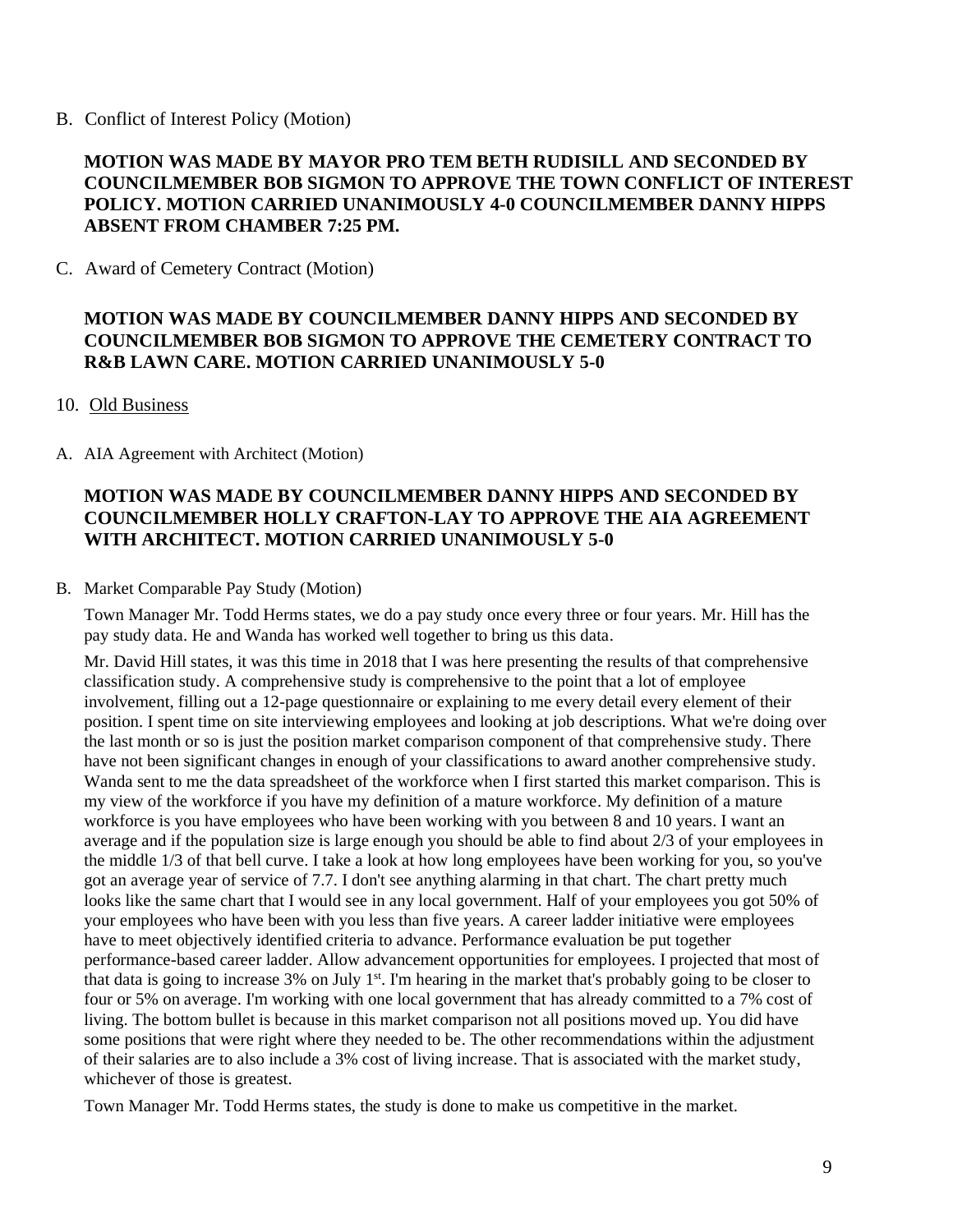B. Conflict of Interest Policy (Motion)

### **MOTION WAS MADE BY MAYOR PRO TEM BETH RUDISILL AND SECONDED BY COUNCILMEMBER BOB SIGMON TO APPROVE THE TOWN CONFLICT OF INTEREST POLICY. MOTION CARRIED UNANIMOUSLY 4-0 COUNCILMEMBER DANNY HIPPS ABSENT FROM CHAMBER 7:25 PM.**

C. Award of Cemetery Contract (Motion)

### **MOTION WAS MADE BY COUNCILMEMBER DANNY HIPPS AND SECONDED BY COUNCILMEMBER BOB SIGMON TO APPROVE THE CEMETERY CONTRACT TO R&B LAWN CARE. MOTION CARRIED UNANIMOUSLY 5-0**

#### 10. Old Business

A. AIA Agreement with Architect (Motion)

## **MOTION WAS MADE BY COUNCILMEMBER DANNY HIPPS AND SECONDED BY COUNCILMEMBER HOLLY CRAFTON-LAY TO APPROVE THE AIA AGREEMENT WITH ARCHITECT. MOTION CARRIED UNANIMOUSLY 5-0**

#### B. Market Comparable Pay Study (Motion)

Town Manager Mr. Todd Herms states, we do a pay study once every three or four years. Mr. Hill has the pay study data. He and Wanda has worked well together to bring us this data.

Mr. David Hill states, it was this time in 2018 that I was here presenting the results of that comprehensive classification study. A comprehensive study is comprehensive to the point that a lot of employee involvement, filling out a 12-page questionnaire or explaining to me every detail every element of their position. I spent time on site interviewing employees and looking at job descriptions. What we're doing over the last month or so is just the position market comparison component of that comprehensive study. There have not been significant changes in enough of your classifications to award another comprehensive study. Wanda sent to me the data spreadsheet of the workforce when I first started this market comparison. This is my view of the workforce if you have my definition of a mature workforce. My definition of a mature workforce is you have employees who have been working with you between 8 and 10 years. I want an average and if the population size is large enough you should be able to find about 2/3 of your employees in the middle 1/3 of that bell curve. I take a look at how long employees have been working for you, so you've got an average year of service of 7.7. I don't see anything alarming in that chart. The chart pretty much looks like the same chart that I would see in any local government. Half of your employees you got 50% of your employees who have been with you less than five years. A career ladder initiative were employees have to meet objectively identified criteria to advance. Performance evaluation be put together performance-based career ladder. Allow advancement opportunities for employees. I projected that most of that data is going to increase 3% on July 1<sup>st</sup>. I'm hearing in the market that's probably going to be closer to four or 5% on average. I'm working with one local government that has already committed to a 7% cost of living. The bottom bullet is because in this market comparison not all positions moved up. You did have some positions that were right where they needed to be. The other recommendations within the adjustment of their salaries are to also include a 3% cost of living increase. That is associated with the market study, whichever of those is greatest.

Town Manager Mr. Todd Herms states, the study is done to make us competitive in the market.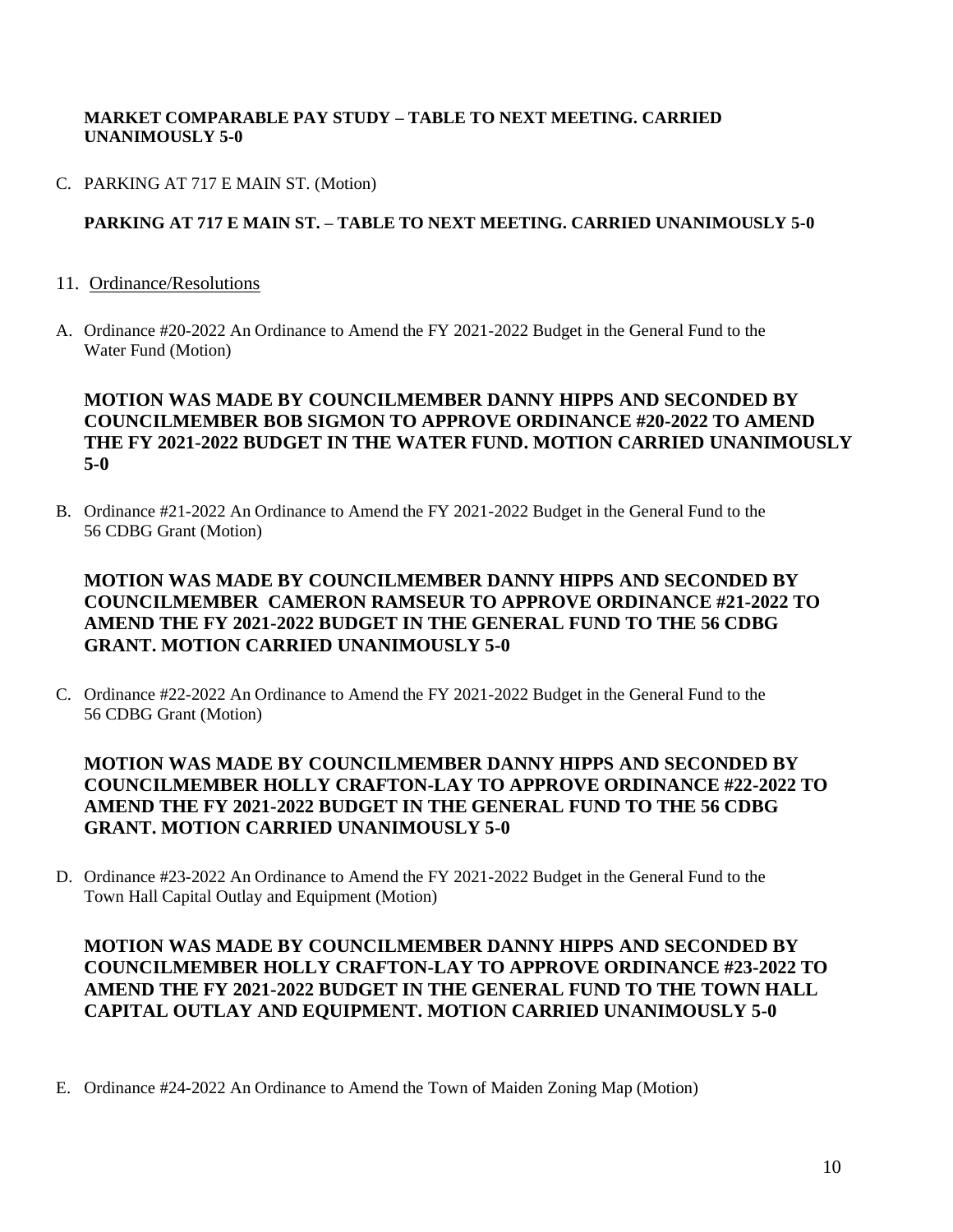#### **MARKET COMPARABLE PAY STUDY – TABLE TO NEXT MEETING. CARRIED UNANIMOUSLY 5-0**

C. PARKING AT 717 E MAIN ST. (Motion)

### **PARKING AT 717 E MAIN ST. – TABLE TO NEXT MEETING. CARRIED UNANIMOUSLY 5-0**

- 11. Ordinance/Resolutions
- A. Ordinance #20-2022 An Ordinance to Amend the FY 2021-2022 Budget in the General Fund to the Water Fund (Motion)

### **MOTION WAS MADE BY COUNCILMEMBER DANNY HIPPS AND SECONDED BY COUNCILMEMBER BOB SIGMON TO APPROVE ORDINANCE #20-2022 TO AMEND THE FY 2021-2022 BUDGET IN THE WATER FUND. MOTION CARRIED UNANIMOUSLY 5-0**

B. Ordinance #21-2022 An Ordinance to Amend the FY 2021-2022 Budget in the General Fund to the 56 CDBG Grant (Motion)

### **MOTION WAS MADE BY COUNCILMEMBER DANNY HIPPS AND SECONDED BY COUNCILMEMBER CAMERON RAMSEUR TO APPROVE ORDINANCE #21-2022 TO AMEND THE FY 2021-2022 BUDGET IN THE GENERAL FUND TO THE 56 CDBG GRANT. MOTION CARRIED UNANIMOUSLY 5-0**

C. Ordinance #22-2022 An Ordinance to Amend the FY 2021-2022 Budget in the General Fund to the 56 CDBG Grant (Motion)

### **MOTION WAS MADE BY COUNCILMEMBER DANNY HIPPS AND SECONDED BY COUNCILMEMBER HOLLY CRAFTON-LAY TO APPROVE ORDINANCE #22-2022 TO AMEND THE FY 2021-2022 BUDGET IN THE GENERAL FUND TO THE 56 CDBG GRANT. MOTION CARRIED UNANIMOUSLY 5-0**

D. Ordinance #23-2022 An Ordinance to Amend the FY 2021-2022 Budget in the General Fund to the Town Hall Capital Outlay and Equipment (Motion)

### **MOTION WAS MADE BY COUNCILMEMBER DANNY HIPPS AND SECONDED BY COUNCILMEMBER HOLLY CRAFTON-LAY TO APPROVE ORDINANCE #23-2022 TO AMEND THE FY 2021-2022 BUDGET IN THE GENERAL FUND TO THE TOWN HALL CAPITAL OUTLAY AND EQUIPMENT. MOTION CARRIED UNANIMOUSLY 5-0**

E. Ordinance #24-2022 An Ordinance to Amend the Town of Maiden Zoning Map (Motion)